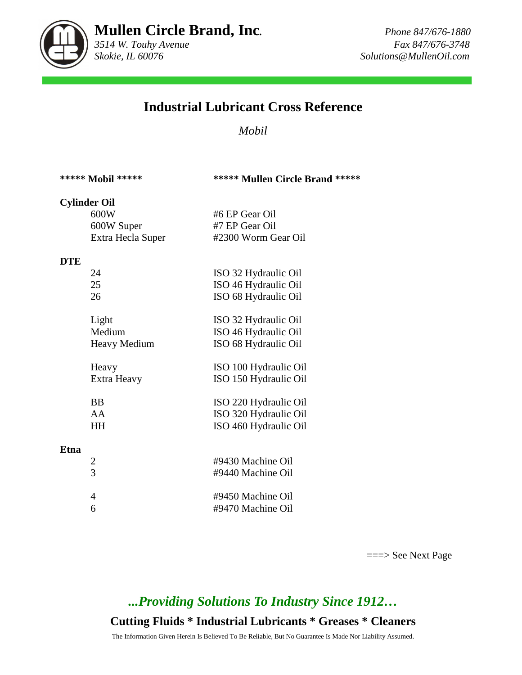

# **Industrial Lubricant Cross Reference**

*Mobil* 

|  | ***** Mobil ***** |  |
|--|-------------------|--|
|--|-------------------|--|

#### **\*\*\*\*\* Mobil \*\*\*\*\* \*\*\*\*\* Mullen Circle Brand \*\*\*\*\***

### **Cylinder Oil**

| 600W              | #6 EP Gear Oil      |
|-------------------|---------------------|
| 600W Super        | #7 EP Gear Oil      |
| Extra Hecla Super | #2300 Worm Gear Oil |
|                   |                     |

#### **DTE**

|      | 24                      | ISO 32 Hydraulic Oil  |
|------|-------------------------|-----------------------|
|      | 25                      | ISO 46 Hydraulic Oil  |
|      | 26                      | ISO 68 Hydraulic Oil  |
|      | Light                   | ISO 32 Hydraulic Oil  |
|      | Medium                  | ISO 46 Hydraulic Oil  |
|      | <b>Heavy Medium</b>     | ISO 68 Hydraulic Oil  |
|      | Heavy                   | ISO 100 Hydraulic Oil |
|      | Extra Heavy             | ISO 150 Hydraulic Oil |
|      | BB                      | ISO 220 Hydraulic Oil |
|      | AA                      | ISO 320 Hydraulic Oil |
|      | HН                      | ISO 460 Hydraulic Oil |
| Etna |                         |                       |
|      | $\overline{\mathbf{c}}$ | #9430 Machine Oil     |
|      | $\overline{3}$          | #9440 Machine Oil     |

| #9450 Machine Oil |
|-------------------|
| #9470 Machine Oil |

===> See Next Page

# *...Providing Solutions To Industry Since 1912…*

## **Cutting Fluids \* Industrial Lubricants \* Greases \* Cleaners**

The Information Given Herein Is Believed To Be Reliable, But No Guarantee Is Made Nor Liability Assumed.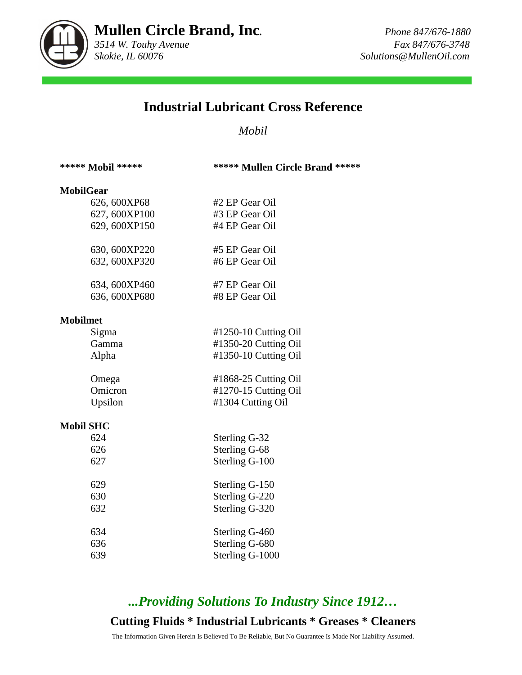

## **Industrial Lubricant Cross Reference**

### *Mobil*

#### \*\*\*\*\* Mobil \*\*\*\*\* **\*\*\*\*\* \*\*\*\*\* Mullen Circle Brand \*\*\*\*\***

#### **MobilGear**

| 626, 600XP68  | #2 EP Gear Oil |
|---------------|----------------|
| 627, 600XP100 | #3 EP Gear Oil |
| 629, 600XP150 | #4 EP Gear Oil |
| 630, 600XP220 | #5 EP Gear Oil |
| 632, 600XP320 | #6 EP Gear Oil |
| 634, 600XP460 | #7 EP Gear Oil |
| 636, 600XP680 | #8 EP Gear Oil |

#### **Mobilmet**

| Sigma   | $\text{\#1250-10}$ Cutting Oil |
|---------|--------------------------------|
| Gamma   | #1350-20 Cutting Oil           |
| Alpha   | #1350-10 Cutting Oil           |
|         |                                |
| Omega   | #1868-25 Cutting Oil           |
| Omicron | #1270-15 Cutting Oil           |
| Upsilon | #1304 Cutting Oil              |

#### **Mobil SHC**

| 624 | Sterling G-32   |
|-----|-----------------|
| 626 | Sterling G-68   |
| 627 | Sterling G-100  |
| 629 | Sterling G-150  |
| 630 | Sterling G-220  |
| 632 | Sterling G-320  |
| 634 | Sterling G-460  |
| 636 | Sterling G-680  |
| 639 | Sterling G-1000 |

# *...Providing Solutions To Industry Since 1912…*

## **Cutting Fluids \* Industrial Lubricants \* Greases \* Cleaners**

The Information Given Herein Is Believed To Be Reliable, But No Guarantee Is Made Nor Liability Assumed.